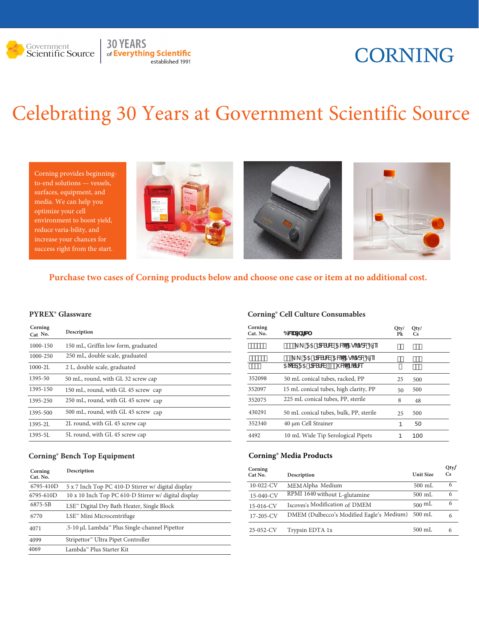

### **30 YEARS** of Everything Scientific established 1991

## **CORNING**

# Celebrating 30 Years at Government Scientific Source

Corning provides beginningto-end solutions — vessels, surfaces, equipment, and media. We can help you optimize your cell reduce varia-bility, and success right from the start.





 **Purchase two cases of Corning products below and choose one case or item at no additional cost.** 

| Corning<br>Cat No. | Description                         |
|--------------------|-------------------------------------|
| 1000-150           | 150 mL, Griffin low form, graduated |
| 1000-250           | 250 mL, double scale, graduated     |
| $1000 - 2L$        | 2 L, double scale, graduated        |
| 1395-50            | 50 mL, round, with GL 32 screw cap  |
| 1395-150           | 150 mL, round, with GL 45 screw cap |
| 1395-250           | 250 mL, round, with GL 45 screw cap |
| 1395-500           | 500 mL, round, with GL 45 screw cap |
| $1395 - 21$        | 2L round, with GL 45 screw cap      |
| $1395 - 51$        | 5L round, with GL 45 screw cap      |

### **Corning® Bench Top Equipment**

| Corning<br>Cat. No. | Description                                            |
|---------------------|--------------------------------------------------------|
| 6795-410D           | 5 x 7 Inch Top PC 410-D Stirrer w/ digital display     |
| 6795-610D           | 10 x 10 Inch Top PC 610-D Stirrer w/ digital display   |
| 6875-SB             | LSE <sup>n</sup> Digital Dry Bath Heater, Single Block |
| 6770                | LSE™ Mini Microcentrifuge                              |
| 4071                | .5-10 µL Lambda™ Plus Single-channel Pipettor          |
| 4099                | Stripettor <sup>™</sup> Ultra Pipet Controller         |
| 4069                | Lambda™ Plus Starter Kit                               |

#### **PYREX® Glassware Corning® Cell Culture Consumables**

| Corning<br>Cat. No. | 6Wdbfa                                 | Qty/<br>Pk | Qty/<br>$\mathbf{C}\mathbf{s}$ |  |
|---------------------|----------------------------------------|------------|--------------------------------|--|
| %%"%                | #"" _ F5260NSFW5W5g'fgdV6[eZ           | S"         | S''                            |  |
| $%$ %" &            | F52fdMSfW5W5g'fgdM6[eZ                 | S'         | $1 - 11 - 11$                  |  |
| $%$ #S              | 5 VSdF526ASFW #SZ WBSfW                | ٠          | #"                             |  |
| 352098              | 50 mL conical tubes, racked, PP        | 25         | 500                            |  |
| 352097              | 15 mL conical tubes, high clarity, PP  | 50         | 500                            |  |
| 352075              | 225 mL conical tubes, PP, sterile      | 8          | 48                             |  |
| 430291              | 50 mL conical tubes, bulk, PP, sterile | 25         | 500                            |  |
| 352340              | 40 µm Cell Strainer                    | 1          | 50                             |  |
| 4492                | 10 mL Wide Tip Serological Pipets      | 1          | 100                            |  |

#### **Corning® Media Products**

| Corning<br>Cat No. | Description                               | <b>Unit Size</b> | Qty/<br>Cs |
|--------------------|-------------------------------------------|------------------|------------|
| $10-022$ -CV       | MEM Alpha Medium                          | $500$ mL         | 6          |
| 15-040-CV          | RPMI 1640 without L-glutamine             | $500$ mL         | 6          |
| 15-016-CV          | Iscoves's Modification of DMEM            | $500 \text{ mL}$ | 6          |
| 17-205-CV          | DMEM (Dulbecco's Modified Eagle's Medium) | $500$ mL         | 6          |
| $25-052-CV$        | Trypsin EDTA 1x                           | $500$ mL         | 6          |